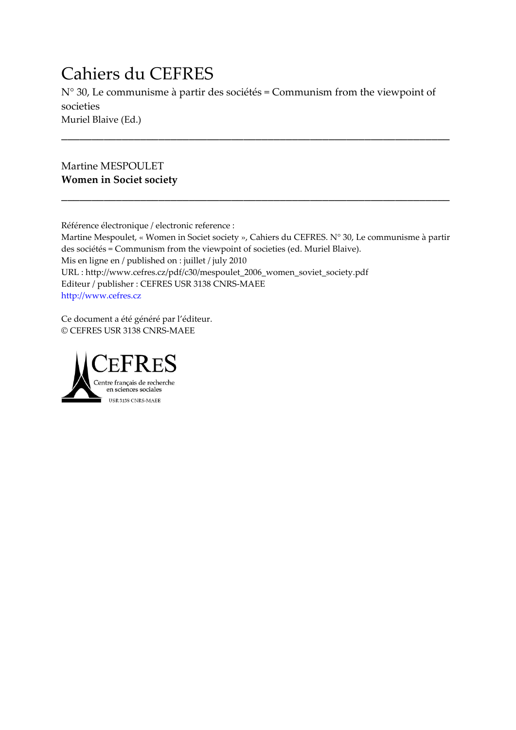# Cahiers du CEFRES

N° 30, Le communisme à partir des sociétés = Communism from the viewpoint of societies Muriel Blaive (Ed.)

\_\_\_\_\_\_\_\_\_\_\_\_\_\_\_\_\_\_\_\_\_\_\_\_\_\_\_\_\_\_\_\_\_\_\_\_\_\_\_\_\_\_\_\_\_\_\_\_\_\_\_\_\_\_\_\_\_\_\_\_\_\_\_\_

\_\_\_\_\_\_\_\_\_\_\_\_\_\_\_\_\_\_\_\_\_\_\_\_\_\_\_\_\_\_\_\_\_\_\_\_\_\_\_\_\_\_\_\_\_\_\_\_\_\_\_\_\_\_\_\_\_\_\_\_\_\_\_\_

Martine MESPOULET **Women in Societ society**

Référence électronique / electronic reference :

Martine Mespoulet, « Women in Societ society », Cahiers du CEFRES. N° 30, Le communisme à partir des sociétés = Communism from the viewpoint of societies (ed. Muriel Blaive). Mis en ligne en / published on : juillet / july 2010 URL : http://www.cefres.cz/pdf/c30/mespoulet\_2006\_women\_soviet\_society.pdf Editeur / publisher : CEFRES USR 3138 CNRS-MAEE [http://www.cefres.cz](http://www.cefres.cz/)

Ce document a été généré par l'éditeur. © CEFRES USR 3138 CNRS-MAEE

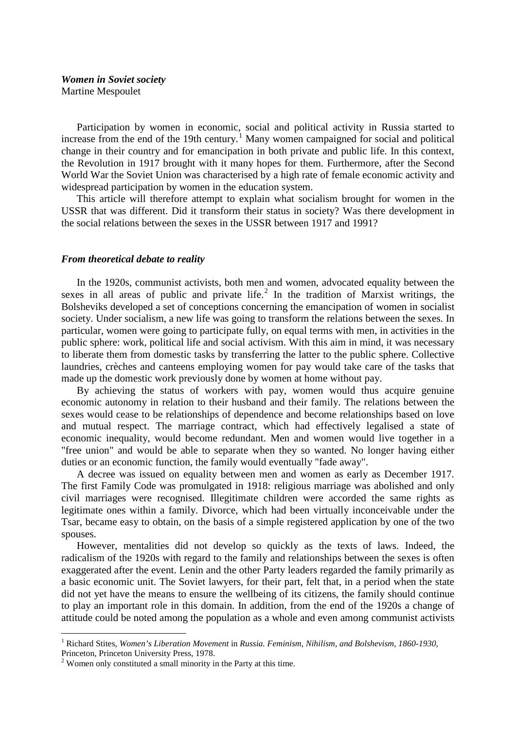## *Women in Soviet society* Martine Mespoulet

Participation by women in economic, social and political activity in Russia started to increase from the end of the [1](#page-1-0)9th century.<sup>1</sup> Many women campaigned for social and political change in their country and for emancipation in both private and public life. In this context, the Revolution in 1917 brought with it many hopes for them. Furthermore, after the Second World War the Soviet Union was characterised by a high rate of female economic activity and widespread participation by women in the education system.

This article will therefore attempt to explain what socialism brought for women in the USSR that was different. Did it transform their status in society? Was there development in the social relations between the sexes in the USSR between 1917 and 1991?

### *From theoretical debate to reality*

In the 1920s, communist activists, both men and women, advocated equality between the sexes in all areas of public and private life. $^2$  $^2$  In the tradition of Marxist writings, the Bolsheviks developed a set of conceptions concerning the emancipation of women in socialist society. Under socialism, a new life was going to transform the relations between the sexes. In particular, women were going to participate fully, on equal terms with men, in activities in the public sphere: work, political life and social activism. With this aim in mind, it was necessary to liberate them from domestic tasks by transferring the latter to the public sphere. Collective laundries, crèches and canteens employing women for pay would take care of the tasks that made up the domestic work previously done by women at home without pay.

By achieving the status of workers with pay, women would thus acquire genuine economic autonomy in relation to their husband and their family. The relations between the sexes would cease to be relationships of dependence and become relationships based on love and mutual respect. The marriage contract, which had effectively legalised a state of economic inequality, would become redundant. Men and women would live together in a "free union" and would be able to separate when they so wanted. No longer having either duties or an economic function, the family would eventually "fade away".

A decree was issued on equality between men and women as early as December 1917. The first Family Code was promulgated in 1918: religious marriage was abolished and only civil marriages were recognised. Illegitimate children were accorded the same rights as legitimate ones within a family. Divorce, which had been virtually inconceivable under the Tsar, became easy to obtain, on the basis of a simple registered application by one of the two spouses.

However, mentalities did not develop so quickly as the texts of laws. Indeed, the radicalism of the 1920s with regard to the family and relationships between the sexes is often exaggerated after the event. Lenin and the other Party leaders regarded the family primarily as a basic economic unit. The Soviet lawyers, for their part, felt that, in a period when the state did not yet have the means to ensure the wellbeing of its citizens, the family should continue to play an important role in this domain. In addition, from the end of the 1920s a change of attitude could be noted among the population as a whole and even among communist activists

<span id="page-1-0"></span> <sup>1</sup> Richard Stites, *Women's Liberation Movement* in *Russia. Feminism, Nihilism, and Bolshevism, 1860-1930,* 

<span id="page-1-1"></span>Princeton, Princeton University Press, 1978.<br><sup>2</sup> Women only constituted a small minority in the Party at this time.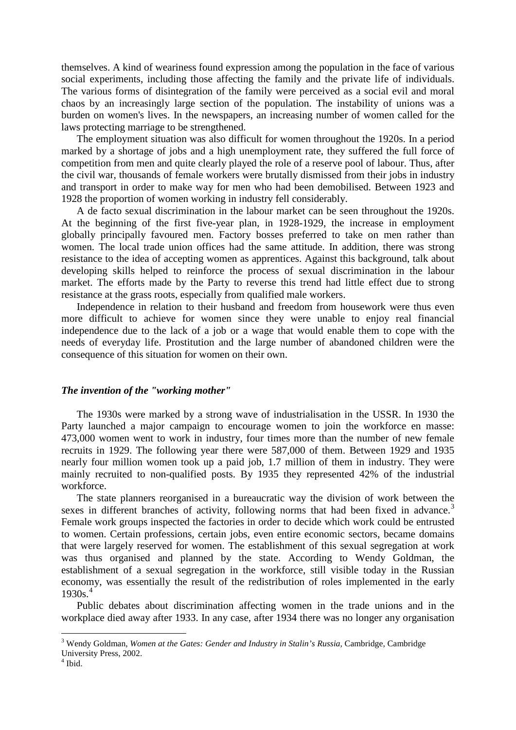themselves. A kind of weariness found expression among the population in the face of various social experiments, including those affecting the family and the private life of individuals. The various forms of disintegration of the family were perceived as a social evil and moral chaos by an increasingly large section of the population. The instability of unions was a burden on women's lives. In the newspapers, an increasing number of women called for the laws protecting marriage to be strengthened.

The employment situation was also difficult for women throughout the 1920s. In a period marked by a shortage of jobs and a high unemployment rate, they suffered the full force of competition from men and quite clearly played the role of a reserve pool of labour. Thus, after the civil war, thousands of female workers were brutally dismissed from their jobs in industry and transport in order to make way for men who had been demobilised. Between 1923 and 1928 the proportion of women working in industry fell considerably.

A de facto sexual discrimination in the labour market can be seen throughout the 1920s. At the beginning of the first five-year plan, in 1928-1929, the increase in employment globally principally favoured men. Factory bosses preferred to take on men rather than women. The local trade union offices had the same attitude. In addition, there was strong resistance to the idea of accepting women as apprentices. Against this background, talk about developing skills helped to reinforce the process of sexual discrimination in the labour market. The efforts made by the Party to reverse this trend had little effect due to strong resistance at the grass roots, especially from qualified male workers.

Independence in relation to their husband and freedom from housework were thus even more difficult to achieve for women since they were unable to enjoy real financial independence due to the lack of a job or a wage that would enable them to cope with the needs of everyday life. Prostitution and the large number of abandoned children were the consequence of this situation for women on their own.

#### *The invention of the "working mother"*

The 1930s were marked by a strong wave of industrialisation in the USSR. In 1930 the Party launched a major campaign to encourage women to join the workforce en masse: 473,000 women went to work in industry, four times more than the number of new female recruits in 1929. The following year there were 587,000 of them. Between 1929 and 1935 nearly four million women took up a paid job, 1.7 million of them in industry. They were mainly recruited to non-qualified posts. By 1935 they represented 42% of the industrial workforce.

The state planners reorganised in a bureaucratic way the division of work between the sexes in different branches of activity, following norms that had been fixed in advance.<sup>[3](#page-2-0)</sup> Female work groups inspected the factories in order to decide which work could be entrusted to women. Certain professions, certain jobs, even entire economic sectors, became domains that were largely reserved for women. The establishment of this sexual segregation at work was thus organised and planned by the state. According to Wendy Goldman, the establishment of a sexual segregation in the workforce, still visible today in the Russian economy, was essentially the result of the redistribution of roles implemented in the early  $1930s<sup>4</sup>$  $1930s<sup>4</sup>$  $1930s<sup>4</sup>$ 

Public debates about discrimination affecting women in the trade unions and in the workplace died away after 1933. In any case, after 1934 there was no longer any organisation

<span id="page-2-0"></span> <sup>3</sup> Wendy Goldman, *Women at the Gates: Gender and Industry in Stalin's Russia,* Cambridge, Cambridge University Press, 2002.

<span id="page-2-1"></span> $<sup>4</sup>$  Ibid.</sup>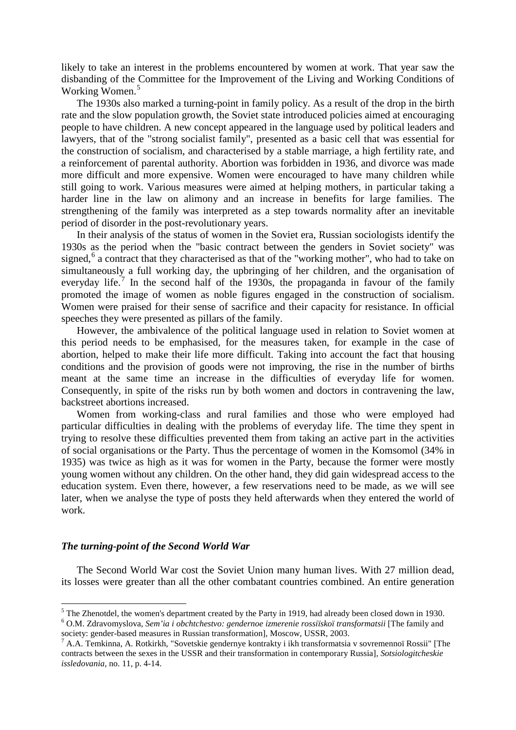likely to take an interest in the problems encountered by women at work. That year saw the disbanding of the Committee for the Improvement of the Living and Working Conditions of Working Women.<sup>[5](#page-3-0)</sup>

The 1930s also marked a turning-point in family policy. As a result of the drop in the birth rate and the slow population growth, the Soviet state introduced policies aimed at encouraging people to have children. A new concept appeared in the language used by political leaders and lawyers, that of the "strong socialist family", presented as a basic cell that was essential for the construction of socialism, and characterised by a stable marriage, a high fertility rate, and a reinforcement of parental authority. Abortion was forbidden in 1936, and divorce was made more difficult and more expensive. Women were encouraged to have many children while still going to work. Various measures were aimed at helping mothers, in particular taking a harder line in the law on alimony and an increase in benefits for large families. The strengthening of the family was interpreted as a step towards normality after an inevitable period of disorder in the post-revolutionary years.

In their analysis of the status of women in the Soviet era, Russian sociologists identify the 1930s as the period when the "basic contract between the genders in Soviet society" was signed,<sup>[6](#page-3-1)</sup> a contract that they characterised as that of the "working mother", who had to take on simultaneously a full working day, the upbringing of her children, and the organisation of everyday life.<sup>[7](#page-3-2)</sup> In the second half of the 1930s, the propaganda in favour of the family promoted the image of women as noble figures engaged in the construction of socialism. Women were praised for their sense of sacrifice and their capacity for resistance. In official speeches they were presented as pillars of the family.

However, the ambivalence of the political language used in relation to Soviet women at this period needs to be emphasised, for the measures taken, for example in the case of abortion, helped to make their life more difficult. Taking into account the fact that housing conditions and the provision of goods were not improving, the rise in the number of births meant at the same time an increase in the difficulties of everyday life for women. Consequently, in spite of the risks run by both women and doctors in contravening the law, backstreet abortions increased.

Women from working-class and rural families and those who were employed had particular difficulties in dealing with the problems of everyday life. The time they spent in trying to resolve these difficulties prevented them from taking an active part in the activities of social organisations or the Party. Thus the percentage of women in the Komsomol (34% in 1935) was twice as high as it was for women in the Party, because the former were mostly young women without any children. On the other hand, they did gain widespread access to the education system. Even there, however, a few reservations need to be made, as we will see later, when we analyse the type of posts they held afterwards when they entered the world of work.

## *The turning-point of the Second World War*

The Second World War cost the Soviet Union many human lives. With 27 million dead, its losses were greater than all the other combatant countries combined. An entire generation

<span id="page-3-1"></span><span id="page-3-0"></span><sup>&</sup>lt;sup>5</sup> The Zhenotdel, the women's department created by the Party in 1919, had already been closed down in 1930. <sup>6</sup> O.M. Zdravomyslova, *Sem'ia i obchtchestvo: gendernoe izmerenie rossiïskoï transformatsii* [The family and society: gender-based measures in Russian transformation], Moscow, USSR, 2003.<br><sup>7</sup> A.A. Temkinna, A. Rotkirkh, "Sovetskie gendernye kontrakty i ikh transformatsia v sovremennoï Rossii" [The

<span id="page-3-2"></span>contracts between the sexes in the USSR and their transformation in contemporary Russia]*, Sotsiologitcheskie issledovania,* no. 11, p. 4-14.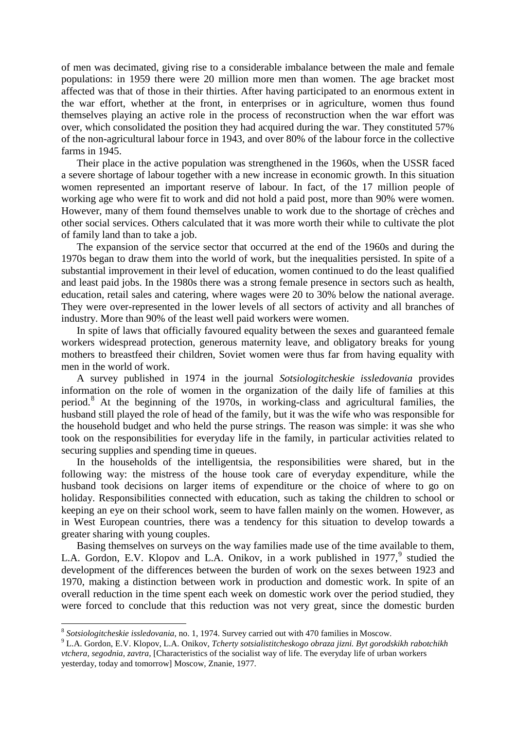of men was decimated, giving rise to a considerable imbalance between the male and female populations: in 1959 there were 20 million more men than women. The age bracket most affected was that of those in their thirties. After having participated to an enormous extent in the war effort, whether at the front, in enterprises or in agriculture, women thus found themselves playing an active role in the process of reconstruction when the war effort was over, which consolidated the position they had acquired during the war. They constituted 57% of the non-agricultural labour force in 1943, and over 80% of the labour force in the collective farms in 1945.

Their place in the active population was strengthened in the 1960s, when the USSR faced a severe shortage of labour together with a new increase in economic growth. In this situation women represented an important reserve of labour. In fact, of the 17 million people of working age who were fit to work and did not hold a paid post, more than 90% were women. However, many of them found themselves unable to work due to the shortage of crèches and other social services. Others calculated that it was more worth their while to cultivate the plot of family land than to take a job.

The expansion of the service sector that occurred at the end of the 1960s and during the 1970s began to draw them into the world of work, but the inequalities persisted. In spite of a substantial improvement in their level of education, women continued to do the least qualified and least paid jobs. In the 1980s there was a strong female presence in sectors such as health, education, retail sales and catering, where wages were 20 to 30% below the national average. They were over-represented in the lower levels of all sectors of activity and all branches of industry. More than 90% of the least well paid workers were women.

In spite of laws that officially favoured equality between the sexes and guaranteed female workers widespread protection, generous maternity leave, and obligatory breaks for young mothers to breastfeed their children, Soviet women were thus far from having equality with men in the world of work.

A survey published in 1974 in the journal *Sotsiologitcheskie issledovania* provides information on the role of women in the organization of the daily life of families at this period.[8](#page-4-0) At the beginning of the 1970s, in working-class and agricultural families, the husband still played the role of head of the family, but it was the wife who was responsible for the household budget and who held the purse strings. The reason was simple: it was she who took on the responsibilities for everyday life in the family, in particular activities related to securing supplies and spending time in queues.

In the households of the intelligentsia, the responsibilities were shared, but in the following way: the mistress of the house took care of everyday expenditure, while the husband took decisions on larger items of expenditure or the choice of where to go on holiday. Responsibilities connected with education, such as taking the children to school or keeping an eye on their school work, seem to have fallen mainly on the women. However, as in West European countries, there was a tendency for this situation to develop towards a greater sharing with young couples.

Basing themselves on surveys on the way families made use of the time available to them, L.A. Gordon, E.V. Klopov and L.A. Onikov, in a work published in 1[9](#page-4-1)77,<sup>9</sup> studied the development of the differences between the burden of work on the sexes between 1923 and 1970, making a distinction between work in production and domestic work. In spite of an overall reduction in the time spent each week on domestic work over the period studied, they were forced to conclude that this reduction was not very great, since the domestic burden

 <sup>8</sup> *Sotsiologitcheskie issledovania*, no. 1, 1974. Survey carried out with 470 families in Moscow.

<span id="page-4-1"></span><span id="page-4-0"></span><sup>9</sup> L.A. Gordon, E.V. Klopov, L.A. Onikov, *Tcherty sotsialistitcheskogo obraza jizni. Byt gorodskikh rabotchikh vtchera, segodnia, zavtra,* [Characteristics of the socialist way of life. The everyday life of urban workers yesterday, today and tomorrow] Moscow, Znanie, 1977.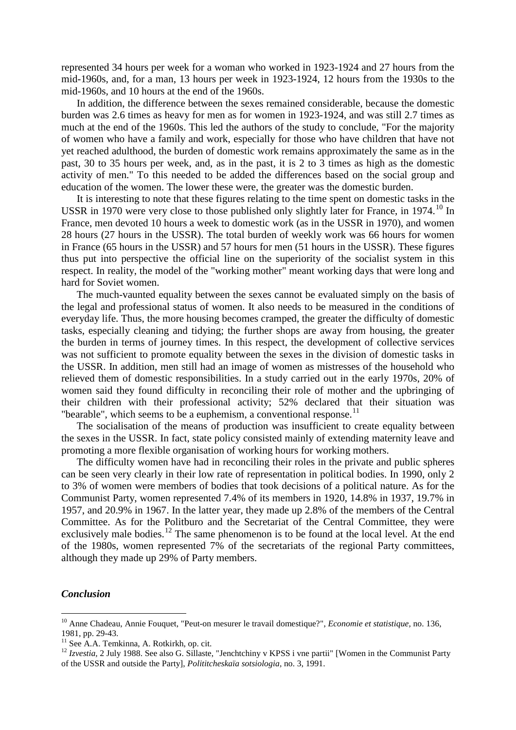represented 34 hours per week for a woman who worked in 1923-1924 and 27 hours from the mid-1960s, and, for a man, 13 hours per week in 1923-1924, 12 hours from the 1930s to the mid-1960s, and 10 hours at the end of the 1960s.

In addition, the difference between the sexes remained considerable, because the domestic burden was 2.6 times as heavy for men as for women in 1923-1924, and was still 2.7 times as much at the end of the 1960s. This led the authors of the study to conclude, "For the majority of women who have a family and work, especially for those who have children that have not yet reached adulthood, the burden of domestic work remains approximately the same as in the past, 30 to 35 hours per week, and, as in the past, it is 2 to 3 times as high as the domestic activity of men." To this needed to be added the differences based on the social group and education of the women. The lower these were, the greater was the domestic burden.

It is interesting to note that these figures relating to the time spent on domestic tasks in the USSR in 1970 were very close to those published only slightly later for France, in 1974.<sup>[10](#page-5-0)</sup> In France, men devoted 10 hours a week to domestic work (as in the USSR in 1970), and women 28 hours (27 hours in the USSR). The total burden of weekly work was 66 hours for women in France (65 hours in the USSR) and 57 hours for men (51 hours in the USSR). These figures thus put into perspective the official line on the superiority of the socialist system in this respect. In reality, the model of the "working mother" meant working days that were long and hard for Soviet women.

The much-vaunted equality between the sexes cannot be evaluated simply on the basis of the legal and professional status of women. It also needs to be measured in the conditions of everyday life. Thus, the more housing becomes cramped, the greater the difficulty of domestic tasks, especially cleaning and tidying; the further shops are away from housing, the greater the burden in terms of journey times. In this respect, the development of collective services was not sufficient to promote equality between the sexes in the division of domestic tasks in the USSR. In addition, men still had an image of women as mistresses of the household who relieved them of domestic responsibilities. In a study carried out in the early 1970s, 20% of women said they found difficulty in reconciling their role of mother and the upbringing of their children with their professional activity; 52% declared that their situation was "bearable", which seems to be a euphemism, a conventional response.<sup>[11](#page-5-1)</sup>

The socialisation of the means of production was insufficient to create equality between the sexes in the USSR. In fact, state policy consisted mainly of extending maternity leave and promoting a more flexible organisation of working hours for working mothers.

The difficulty women have had in reconciling their roles in the private and public spheres can be seen very clearly in their low rate of representation in political bodies. In 1990, only 2 to 3% of women were members of bodies that took decisions of a political nature. As for the Communist Party, women represented 7.4% of its members in 1920, 14.8% in 1937, 19.7% in 1957, and 20.9% in 1967. In the latter year, they made up 2.8% of the members of the Central Committee. As for the Politburo and the Secretariat of the Central Committee, they were exclusively male bodies.<sup>[12](#page-5-2)</sup> The same phenomenon is to be found at the local level. At the end of the 1980s, women represented 7% of the secretariats of the regional Party committees, although they made up 29% of Party members.

## *Conclusion*

<span id="page-5-0"></span> <sup>10</sup> Anne Chadeau, Annie Fouquet, "Peut-on mesurer le travail domestique?", *Economie et statistique,* no. 136, 1981, pp. 29-43.<br><sup>11</sup> See A.A. Temkinna, A. Rotkirkh, op. cit.<br><sup>12</sup> *Izvestia, 2 July 1988. See also G. Sillaste, "Jenchtchiny v KPSS i vne partii" [Women in the Communist Party* 

<span id="page-5-1"></span>

<span id="page-5-2"></span>of the USSR and outside the Party], *Polititcheskaïa sotsiologia,* no. 3, 1991.